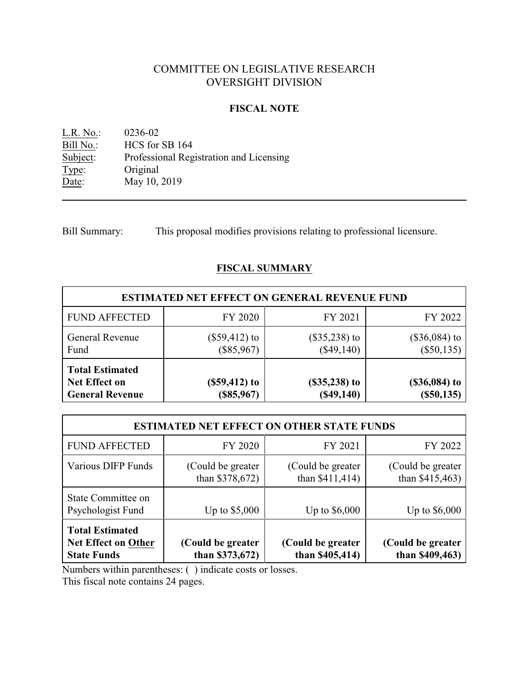# COMMITTEE ON LEGISLATIVE RESEARCH OVERSIGHT DIVISION

### **FISCAL NOTE**

<u>L.R. No.</u>: 0236-02<br>
<u>Bill No.</u>: HCS for Bill No.: HCS for SB 164<br>Subject: Professional Reg Professional Registration and Licensing Type: Original Date: May 10, 2019

Bill Summary: This proposal modifies provisions relating to professional licensure.

# **FISCAL SUMMARY**

| <b>ESTIMATED NET EFFECT ON GENERAL REVENUE FUND</b>                      |                                 |                                   |                                 |  |  |  |  |
|--------------------------------------------------------------------------|---------------------------------|-----------------------------------|---------------------------------|--|--|--|--|
| <b>FUND AFFECTED</b>                                                     | FY 2020                         | FY 2021                           | FY 2022                         |  |  |  |  |
| <b>General Revenue</b><br>Fund                                           | $(\$59,412)$ to<br>$(\$85,967)$ | $(\$35,238)$ to<br>$(\$49,140)$   | $(\$36,084)$ to<br>$(\$50,135)$ |  |  |  |  |
| <b>Total Estimated</b><br><b>Net Effect on</b><br><b>General Revenue</b> | $($59,412)$ to<br>(\$85,967)    | $($ \$35,238 $)$ to<br>(\$49,140) | $($36,084)$ to<br>$(\$50,135)$  |  |  |  |  |

| <b>ESTIMATED NET EFFECT ON OTHER STATE FUNDS</b>                           |                                        |                                       |                                       |  |  |  |  |
|----------------------------------------------------------------------------|----------------------------------------|---------------------------------------|---------------------------------------|--|--|--|--|
| <b>FUND AFFECTED</b>                                                       | FY 2020                                | FY 2021                               | FY 2022                               |  |  |  |  |
| <b>Various DIFP Funds</b>                                                  | (Could be greater)<br>than $$378,672)$ | (Could be greater)<br>than \$411,414) | (Could be greater)<br>than \$415,463) |  |  |  |  |
| State Committee on<br>Psychologist Fund                                    | Up to $$5,000$                         | Up to $$6,000$                        | Up to \$6,000                         |  |  |  |  |
| <b>Total Estimated</b><br><b>Net Effect on Other</b><br><b>State Funds</b> | (Could be greater<br>than $$373,672)$  | (Could be greater<br>than \$405,414)  | (Could be greater)<br>than \$409,463) |  |  |  |  |

Numbers within parentheses: ( ) indicate costs or losses.

This fiscal note contains 24 pages.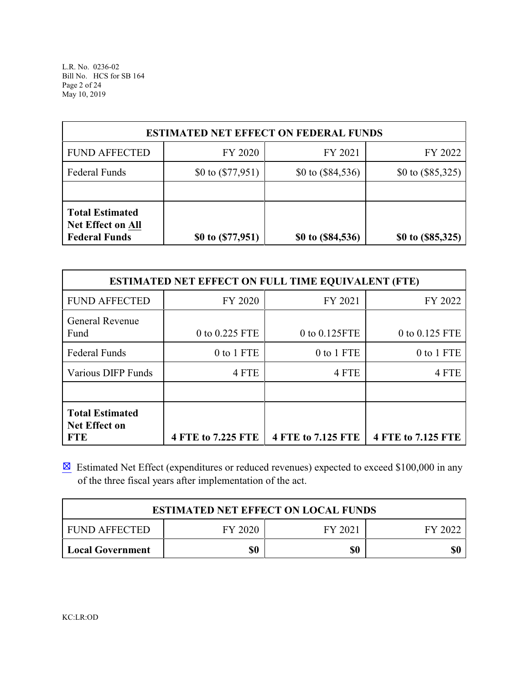L.R. No. 0236-02 Bill No. HCS for SB 164 Page 2 of 24 May 10, 2019

| <b>ESTIMATED NET EFFECT ON FEDERAL FUNDS</b>                               |                     |                     |                     |  |  |  |  |
|----------------------------------------------------------------------------|---------------------|---------------------|---------------------|--|--|--|--|
| <b>FUND AFFECTED</b><br>FY 2020<br>FY 2021                                 |                     |                     |                     |  |  |  |  |
| <b>Federal Funds</b>                                                       | \$0 to $(\$77,951)$ | \$0 to $(\$84,536)$ | \$0 to $(\$85,325)$ |  |  |  |  |
|                                                                            |                     |                     |                     |  |  |  |  |
| <b>Total Estimated</b><br><b>Net Effect on All</b><br><b>Federal Funds</b> | \$0 to $(\$77,951)$ | \$0 to (\$84,536)   | \$0 to (\$85,325)   |  |  |  |  |

| <b>ESTIMATED NET EFFECT ON FULL TIME EQUIVALENT (FTE)</b>    |                               |                    |                    |  |  |  |  |
|--------------------------------------------------------------|-------------------------------|--------------------|--------------------|--|--|--|--|
| <b>FUND AFFECTED</b>                                         | FY 2020<br>FY 2021<br>FY 2022 |                    |                    |  |  |  |  |
| <b>General Revenue</b><br>Fund                               | 0 to 0.225 FTE                | 0 to 0.125FTE      | 0 to 0.125 FTE     |  |  |  |  |
| <b>Federal Funds</b>                                         | 0 to 1 FTE                    | 0 to 1 FTE         | 0 to 1 FTE         |  |  |  |  |
| Various DIFP Funds                                           | 4 FTE                         | 4 FTE              | 4 FTE              |  |  |  |  |
|                                                              |                               |                    |                    |  |  |  |  |
| <b>Total Estimated</b><br><b>Net Effect on</b><br><b>FTE</b> | 4 FTE to 7.225 FTE            | 4 FTE to 7.125 FTE | 4 FTE to 7.125 FTE |  |  |  |  |

 $\boxtimes$  Estimated Net Effect (expenditures or reduced revenues) expected to exceed \$100,000 in any of the three fiscal years after implementation of the act.

| <b>ESTIMATED NET EFFECT ON LOCAL FUNDS</b>            |     |     |     |  |  |  |
|-------------------------------------------------------|-----|-----|-----|--|--|--|
| FY 2020<br><b>FUND AFFECTED</b><br>FY 2021<br>FY 2022 |     |     |     |  |  |  |
| Local Government                                      | \$0 | \$0 | \$0 |  |  |  |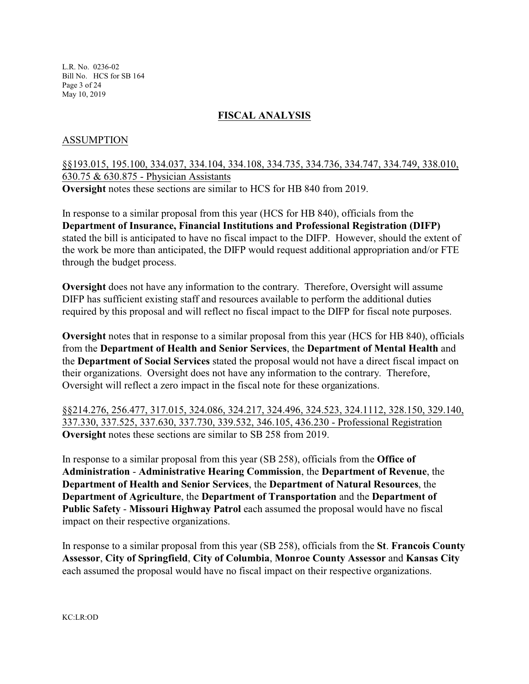L.R. No. 0236-02 Bill No. HCS for SB 164 Page 3 of 24 May 10, 2019

# **FISCAL ANALYSIS**

### ASSUMPTION

§§193.015, 195.100, 334.037, 334.104, 334.108, 334.735, 334.736, 334.747, 334.749, 338.010, 630.75 & 630.875 - Physician Assistants **Oversight** notes these sections are similar to HCS for HB 840 from 2019.

In response to a similar proposal from this year (HCS for HB 840), officials from the **Department of Insurance, Financial Institutions and Professional Registration (DIFP)** stated the bill is anticipated to have no fiscal impact to the DIFP. However, should the extent of the work be more than anticipated, the DIFP would request additional appropriation and/or FTE through the budget process.

**Oversight** does not have any information to the contrary. Therefore, Oversight will assume DIFP has sufficient existing staff and resources available to perform the additional duties required by this proposal and will reflect no fiscal impact to the DIFP for fiscal note purposes.

**Oversight** notes that in response to a similar proposal from this year (HCS for HB 840), officials from the **Department of Health and Senior Services**, the **Department of Mental Health** and the **Department of Social Services** stated the proposal would not have a direct fiscal impact on their organizations. Oversight does not have any information to the contrary. Therefore, Oversight will reflect a zero impact in the fiscal note for these organizations.

§§214.276, 256.477, 317.015, 324.086, 324.217, 324.496, 324.523, 324.1112, 328.150, 329.140, 337.330, 337.525, 337.630, 337.730, 339.532, 346.105, 436.230 - Professional Registration **Oversight** notes these sections are similar to SB 258 from 2019.

In response to a similar proposal from this year (SB 258), officials from the **Office of Administration** - **Administrative Hearing Commission**, the **Department of Revenue**, the **Department of Health and Senior Services**, the **Department of Natural Resources**, the **Department of Agriculture**, the **Department of Transportation** and the **Department of Public Safety** - **Missouri Highway Patrol** each assumed the proposal would have no fiscal impact on their respective organizations.

In response to a similar proposal from this year (SB 258), officials from the **St**. **Francois County Assessor**, **City of Springfield**, **City of Columbia**, **Monroe County Assessor** and **Kansas City** each assumed the proposal would have no fiscal impact on their respective organizations.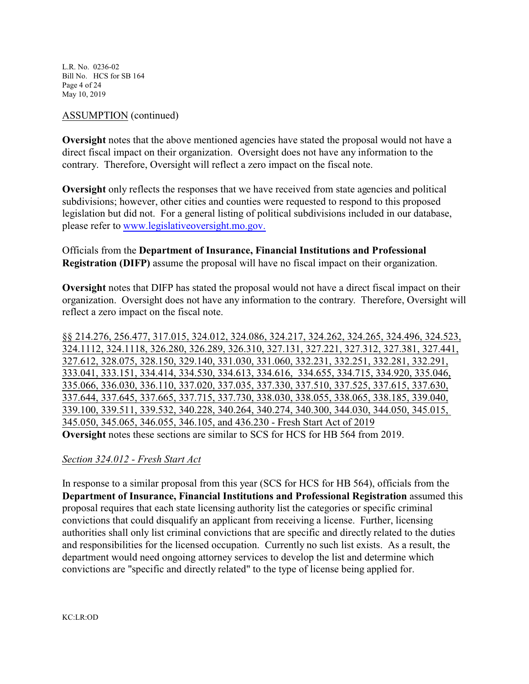L.R. No. 0236-02 Bill No. HCS for SB 164 Page 4 of 24 May 10, 2019

#### ASSUMPTION (continued)

**Oversight** notes that the above mentioned agencies have stated the proposal would not have a direct fiscal impact on their organization. Oversight does not have any information to the contrary. Therefore, Oversight will reflect a zero impact on the fiscal note.

**Oversight** only reflects the responses that we have received from state agencies and political subdivisions; however, other cities and counties were requested to respond to this proposed legislation but did not. For a general listing of political subdivisions included in our database, please refer to [www.legislativeoversight.mo.gov.](http://www.legislativeoversight.mo.gov.)

Officials from the **Department of Insurance, Financial Institutions and Professional Registration (DIFP)** assume the proposal will have no fiscal impact on their organization.

**Oversight** notes that DIFP has stated the proposal would not have a direct fiscal impact on their organization. Oversight does not have any information to the contrary. Therefore, Oversight will reflect a zero impact on the fiscal note.

§§ 214.276, 256.477, 317.015, 324.012, 324.086, 324.217, 324.262, 324.265, 324.496, 324.523, 324.1112, 324.1118, 326.280, 326.289, 326.310, 327.131, 327.221, 327.312, 327.381, 327.441, 327.612, 328.075, 328.150, 329.140, 331.030, 331.060, 332.231, 332.251, 332.281, 332.291, 333.041, 333.151, 334.414, 334.530, 334.613, 334.616, 334.655, 334.715, 334.920, 335.046, 335.066, 336.030, 336.110, 337.020, 337.035, 337.330, 337.510, 337.525, 337.615, 337.630, 337.644, 337.645, 337.665, 337.715, 337.730, 338.030, 338.055, 338.065, 338.185, 339.040, 339.100, 339.511, 339.532, 340.228, 340.264, 340.274, 340.300, 344.030, 344.050, 345.015, 345.050, 345.065, 346.055, 346.105, and 436.230 - Fresh Start Act of 2019 **Oversight** notes these sections are similar to SCS for HCS for HB 564 from 2019.

#### *Section 324.012 - Fresh Start Act*

In response to a similar proposal from this year (SCS for HCS for HB 564), officials from the **Department of Insurance, Financial Institutions and Professional Registration** assumed this proposal requires that each state licensing authority list the categories or specific criminal convictions that could disqualify an applicant from receiving a license. Further, licensing authorities shall only list criminal convictions that are specific and directly related to the duties and responsibilities for the licensed occupation. Currently no such list exists. As a result, the department would need ongoing attorney services to develop the list and determine which convictions are "specific and directly related" to the type of license being applied for.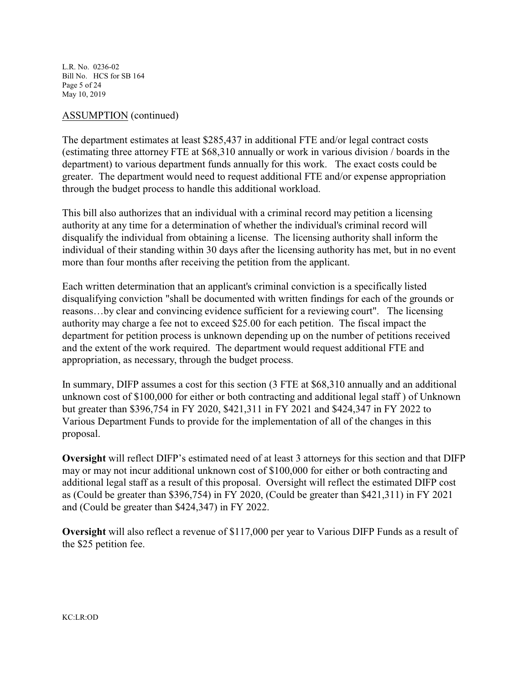L.R. No. 0236-02 Bill No. HCS for SB 164 Page 5 of 24 May 10, 2019

#### ASSUMPTION (continued)

The department estimates at least \$285,437 in additional FTE and/or legal contract costs (estimating three attorney FTE at \$68,310 annually or work in various division / boards in the department) to various department funds annually for this work. The exact costs could be greater. The department would need to request additional FTE and/or expense appropriation through the budget process to handle this additional workload.

This bill also authorizes that an individual with a criminal record may petition a licensing authority at any time for a determination of whether the individual's criminal record will disqualify the individual from obtaining a license. The licensing authority shall inform the individual of their standing within 30 days after the licensing authority has met, but in no event more than four months after receiving the petition from the applicant.

Each written determination that an applicant's criminal conviction is a specifically listed disqualifying conviction "shall be documented with written findings for each of the grounds or reasons…by clear and convincing evidence sufficient for a reviewing court". The licensing authority may charge a fee not to exceed \$25.00 for each petition. The fiscal impact the department for petition process is unknown depending up on the number of petitions received and the extent of the work required. The department would request additional FTE and appropriation, as necessary, through the budget process.

In summary, DIFP assumes a cost for this section (3 FTE at \$68,310 annually and an additional unknown cost of \$100,000 for either or both contracting and additional legal staff ) of Unknown but greater than \$396,754 in FY 2020, \$421,311 in FY 2021 and \$424,347 in FY 2022 to Various Department Funds to provide for the implementation of all of the changes in this proposal.

**Oversight** will reflect DIFP's estimated need of at least 3 attorneys for this section and that DIFP may or may not incur additional unknown cost of \$100,000 for either or both contracting and additional legal staff as a result of this proposal. Oversight will reflect the estimated DIFP cost as (Could be greater than \$396,754) in FY 2020, (Could be greater than \$421,311) in FY 2021 and (Could be greater than \$424,347) in FY 2022.

**Oversight** will also reflect a revenue of \$117,000 per year to Various DIFP Funds as a result of the \$25 petition fee.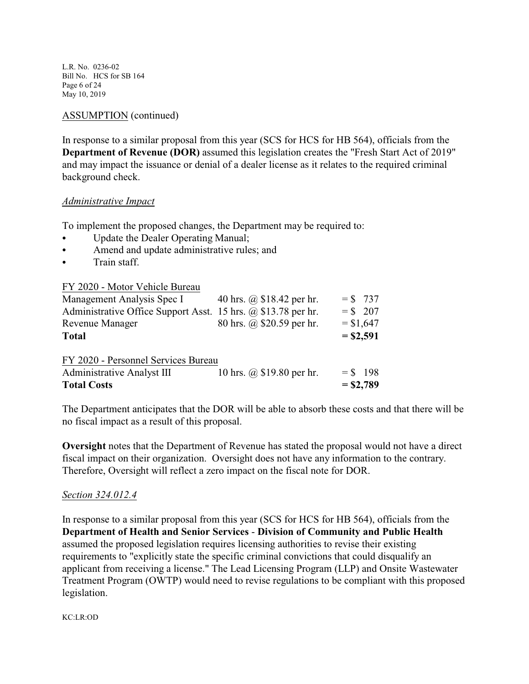L.R. No. 0236-02 Bill No. HCS for SB 164 Page 6 of 24 May 10, 2019

## ASSUMPTION (continued)

In response to a similar proposal from this year (SCS for HCS for HB 564), officials from the **Department of Revenue (DOR)** assumed this legislation creates the "Fresh Start Act of 2019" and may impact the issuance or denial of a dealer license as it relates to the required criminal background check.

#### *Administrative Impact*

To implement the proposed changes, the Department may be required to:

- Update the Dealer Operating Manual;
- Amend and update administrative rules; and
- Train staff.

|--|

| Management Analysis Spec I                                           | 40 hrs. @ \$18.42 per hr. |             | $=$ \$ 737  |
|----------------------------------------------------------------------|---------------------------|-------------|-------------|
| Administrative Office Support Asst. 15 hrs. $\omega$ \$13.78 per hr. |                           | $=$ \$ 207  |             |
| Revenue Manager                                                      | 80 hrs. @ \$20.59 per hr. | $= $1,647$  |             |
| <b>Total</b>                                                         |                           | $=$ \$2,591 |             |
|                                                                      |                           |             |             |
| FY 2020 - Personnel Services Bureau                                  |                           |             |             |
| <b>Administrative Analyst III</b>                                    | 10 hrs. @ \$19.80 per hr. |             | $=$ \$ 198  |
| <b>Total Costs</b>                                                   |                           |             | $=$ \$2,789 |

The Department anticipates that the DOR will be able to absorb these costs and that there will be no fiscal impact as a result of this proposal.

**Oversight** notes that the Department of Revenue has stated the proposal would not have a direct fiscal impact on their organization. Oversight does not have any information to the contrary. Therefore, Oversight will reflect a zero impact on the fiscal note for DOR.

#### *Section 324.012.4*

In response to a similar proposal from this year (SCS for HCS for HB 564), officials from the **Department of Health and Senior Services** - **Division of Community and Public Health** assumed the proposed legislation requires licensing authorities to revise their existing requirements to "explicitly state the specific criminal convictions that could disqualify an applicant from receiving a license." The Lead Licensing Program (LLP) and Onsite Wastewater Treatment Program (OWTP) would need to revise regulations to be compliant with this proposed legislation.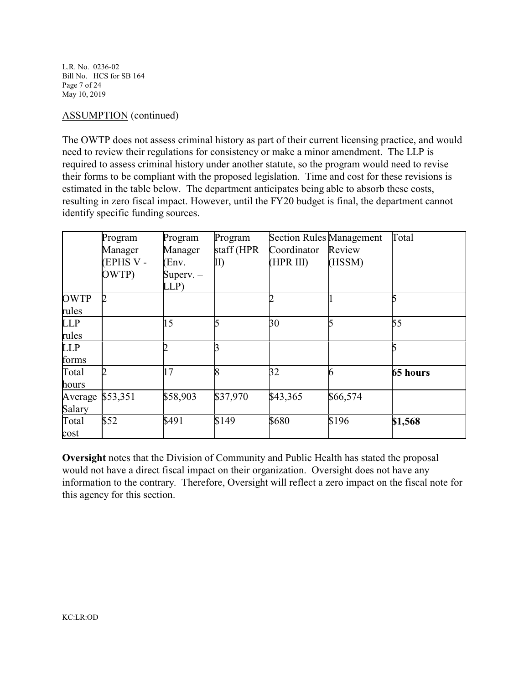L.R. No. 0236-02 Bill No. HCS for SB 164 Page 7 of 24 May 10, 2019

#### ASSUMPTION (continued)

The OWTP does not assess criminal history as part of their current licensing practice, and would need to review their regulations for consistency or make a minor amendment. The LLP is required to assess criminal history under another statute, so the program would need to revise their forms to be compliant with the proposed legislation. Time and cost for these revisions is estimated in the table below. The department anticipates being able to absorb these costs, resulting in zero fiscal impact. However, until the FY20 budget is final, the department cannot identify specific funding sources.

|             | Program         | Program     | Program    | <b>Section Rules Management</b> |          | Total    |
|-------------|-----------------|-------------|------------|---------------------------------|----------|----------|
|             | Manager         | Manager     | staff (HPR | Coordinator                     | Review   |          |
|             | <b>EPHS V -</b> | (Env.       | II)        | (HPR III)                       | (HSSM)   |          |
|             | OWTP)           | Superv. $-$ |            |                                 |          |          |
|             |                 | LLP)        |            |                                 |          |          |
| <b>OWTP</b> |                 |             |            |                                 |          |          |
| rules       |                 |             |            |                                 |          |          |
| <b>LLP</b>  |                 | 15          | ς          | 30                              |          | 55       |
| rules       |                 |             |            |                                 |          |          |
| <b>LLP</b>  |                 |             |            |                                 |          |          |
| forms       |                 |             |            |                                 |          |          |
| Total       |                 | 17          |            | 32                              |          | 65 hours |
| hours       |                 |             |            |                                 |          |          |
| Average     | \$53,351        | \$58,903    | \$37,970   | \$43,365                        | \$66,574 |          |
| Salary      |                 |             |            |                                 |          |          |
| Total       | \$52            | \$491       | \$149      | \$680                           | \$196    | \$1,568  |
| cost        |                 |             |            |                                 |          |          |

**Oversight** notes that the Division of Community and Public Health has stated the proposal would not have a direct fiscal impact on their organization. Oversight does not have any information to the contrary. Therefore, Oversight will reflect a zero impact on the fiscal note for this agency for this section.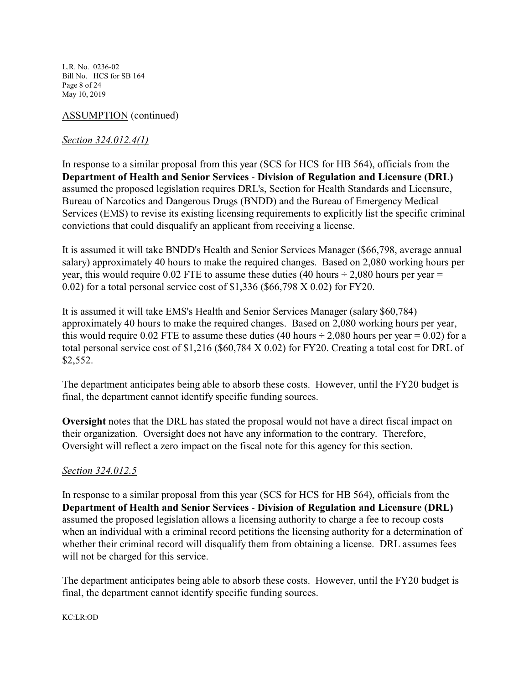L.R. No. 0236-02 Bill No. HCS for SB 164 Page 8 of 24 May 10, 2019

# ASSUMPTION (continued)

# *Section 324.012.4(1)*

In response to a similar proposal from this year (SCS for HCS for HB 564), officials from the **Department of Health and Senior Services** - **Division of Regulation and Licensure (DRL)** assumed the proposed legislation requires DRL's, Section for Health Standards and Licensure, Bureau of Narcotics and Dangerous Drugs (BNDD) and the Bureau of Emergency Medical Services (EMS) to revise its existing licensing requirements to explicitly list the specific criminal convictions that could disqualify an applicant from receiving a license.

It is assumed it will take BNDD's Health and Senior Services Manager (\$66,798, average annual salary) approximately 40 hours to make the required changes. Based on 2,080 working hours per year, this would require 0.02 FTE to assume these duties (40 hours  $\div$  2,080 hours per year = 0.02) for a total personal service cost of \$1,336 (\$66,798 X 0.02) for FY20.

It is assumed it will take EMS's Health and Senior Services Manager (salary \$60,784) approximately 40 hours to make the required changes. Based on 2,080 working hours per year, this would require 0.02 FTE to assume these duties (40 hours  $\div$  2,080 hours per year = 0.02) for a total personal service cost of \$1,216 (\$60,784 X 0.02) for FY20. Creating a total cost for DRL of \$2,552.

The department anticipates being able to absorb these costs. However, until the FY20 budget is final, the department cannot identify specific funding sources.

**Oversight** notes that the DRL has stated the proposal would not have a direct fiscal impact on their organization. Oversight does not have any information to the contrary. Therefore, Oversight will reflect a zero impact on the fiscal note for this agency for this section.

# *Section 324.012.5*

In response to a similar proposal from this year (SCS for HCS for HB 564), officials from the **Department of Health and Senior Services** - **Division of Regulation and Licensure (DRL)** assumed the proposed legislation allows a licensing authority to charge a fee to recoup costs when an individual with a criminal record petitions the licensing authority for a determination of whether their criminal record will disqualify them from obtaining a license. DRL assumes fees will not be charged for this service.

The department anticipates being able to absorb these costs. However, until the FY20 budget is final, the department cannot identify specific funding sources.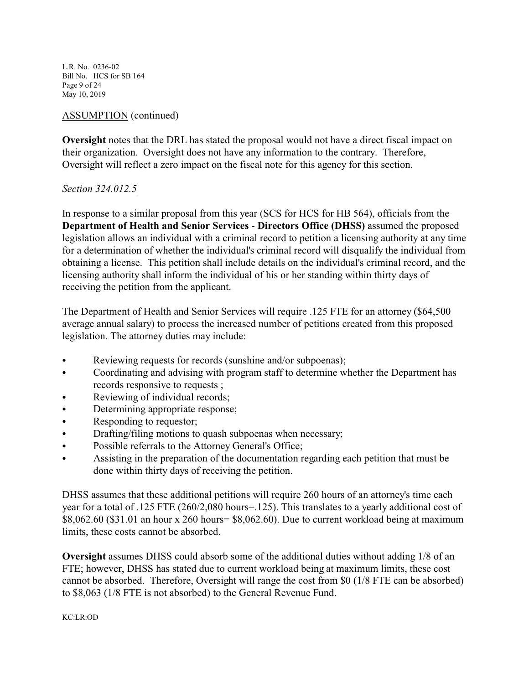L.R. No. 0236-02 Bill No. HCS for SB 164 Page 9 of 24 May 10, 2019

### ASSUMPTION (continued)

**Oversight** notes that the DRL has stated the proposal would not have a direct fiscal impact on their organization. Oversight does not have any information to the contrary. Therefore, Oversight will reflect a zero impact on the fiscal note for this agency for this section.

#### *Section 324.012.5*

In response to a similar proposal from this year (SCS for HCS for HB 564), officials from the **Department of Health and Senior Services** - **Directors Office (DHSS)** assumed the proposed legislation allows an individual with a criminal record to petition a licensing authority at any time for a determination of whether the individual's criminal record will disqualify the individual from obtaining a license. This petition shall include details on the individual's criminal record, and the licensing authority shall inform the individual of his or her standing within thirty days of receiving the petition from the applicant.

The Department of Health and Senior Services will require .125 FTE for an attorney (\$64,500 average annual salary) to process the increased number of petitions created from this proposed legislation. The attorney duties may include:

- Reviewing requests for records (sunshine and/or subpoenas);
- Coordinating and advising with program staff to determine whether the Department has records responsive to requests ;
- Reviewing of individual records;
- Determining appropriate response;
- Responding to requestor;
- Drafting/filing motions to quash subpoenas when necessary;
- Possible referrals to the Attorney General's Office;
- Assisting in the preparation of the documentation regarding each petition that must be done within thirty days of receiving the petition.

DHSS assumes that these additional petitions will require 260 hours of an attorney's time each year for a total of .125 FTE (260/2,080 hours=.125). This translates to a yearly additional cost of \$8,062.60 (\$31.01 an hour x 260 hours= \$8,062.60). Due to current workload being at maximum limits, these costs cannot be absorbed.

**Oversight** assumes DHSS could absorb some of the additional duties without adding 1/8 of an FTE; however, DHSS has stated due to current workload being at maximum limits, these cost cannot be absorbed. Therefore, Oversight will range the cost from \$0 (1/8 FTE can be absorbed) to \$8,063 (1/8 FTE is not absorbed) to the General Revenue Fund.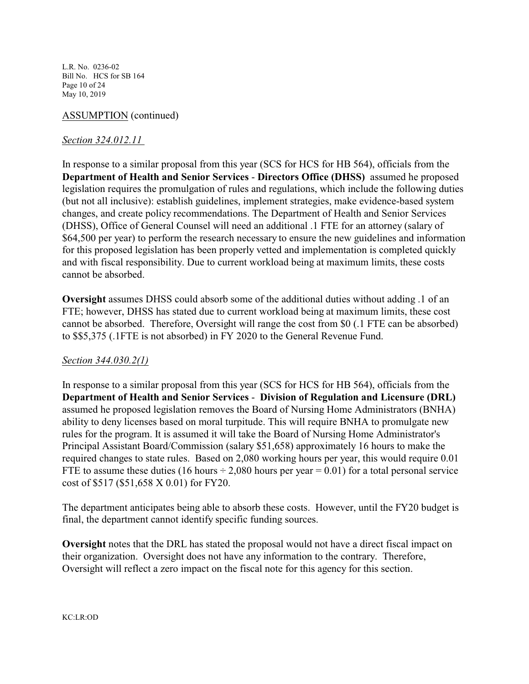L.R. No. 0236-02 Bill No. HCS for SB 164 Page 10 of 24 May 10, 2019

# ASSUMPTION (continued)

## *Section 324.012.11*

In response to a similar proposal from this year (SCS for HCS for HB 564), officials from the **Department of Health and Senior Services** - **Directors Office (DHSS)** assumed he proposed legislation requires the promulgation of rules and regulations, which include the following duties (but not all inclusive): establish guidelines, implement strategies, make evidence-based system changes, and create policy recommendations. The Department of Health and Senior Services (DHSS), Office of General Counsel will need an additional .1 FTE for an attorney (salary of \$64,500 per year) to perform the research necessary to ensure the new guidelines and information for this proposed legislation has been properly vetted and implementation is completed quickly and with fiscal responsibility. Due to current workload being at maximum limits, these costs cannot be absorbed.

**Oversight** assumes DHSS could absorb some of the additional duties without adding .1 of an FTE; however, DHSS has stated due to current workload being at maximum limits, these cost cannot be absorbed. Therefore, Oversight will range the cost from \$0 (.1 FTE can be absorbed) to \$\$5,375 (.1FTE is not absorbed) in FY 2020 to the General Revenue Fund.

#### *Section 344.030.2(1)*

In response to a similar proposal from this year (SCS for HCS for HB 564), officials from the **Department of Health and Senior Services** - **Division of Regulation and Licensure (DRL)** assumed he proposed legislation removes the Board of Nursing Home Administrators (BNHA) ability to deny licenses based on moral turpitude. This will require BNHA to promulgate new rules for the program. It is assumed it will take the Board of Nursing Home Administrator's Principal Assistant Board/Commission (salary \$51,658) approximately 16 hours to make the required changes to state rules. Based on 2,080 working hours per year, this would require 0.01 FTE to assume these duties (16 hours  $\div$  2,080 hours per year = 0.01) for a total personal service cost of \$517 (\$51,658 X 0.01) for FY20.

The department anticipates being able to absorb these costs. However, until the FY20 budget is final, the department cannot identify specific funding sources.

**Oversight** notes that the DRL has stated the proposal would not have a direct fiscal impact on their organization. Oversight does not have any information to the contrary. Therefore, Oversight will reflect a zero impact on the fiscal note for this agency for this section.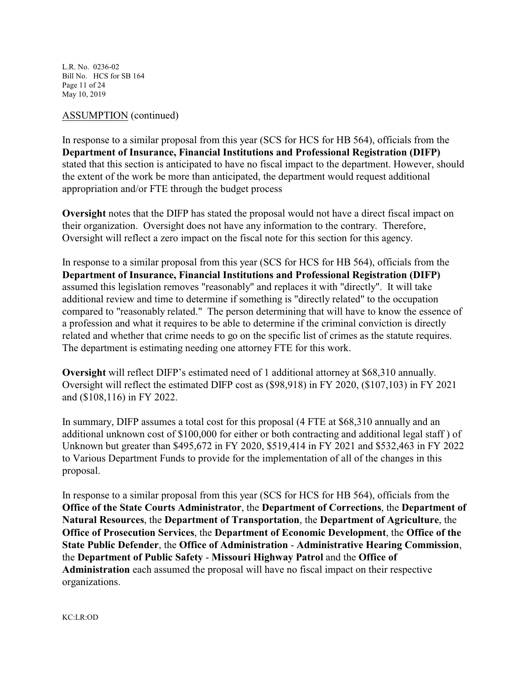L.R. No. 0236-02 Bill No. HCS for SB 164 Page 11 of 24 May 10, 2019

#### ASSUMPTION (continued)

In response to a similar proposal from this year (SCS for HCS for HB 564), officials from the **Department of Insurance, Financial Institutions and Professional Registration (DIFP)** stated that this section is anticipated to have no fiscal impact to the department. However, should the extent of the work be more than anticipated, the department would request additional appropriation and/or FTE through the budget process

**Oversight** notes that the DIFP has stated the proposal would not have a direct fiscal impact on their organization. Oversight does not have any information to the contrary. Therefore, Oversight will reflect a zero impact on the fiscal note for this section for this agency.

In response to a similar proposal from this year (SCS for HCS for HB 564), officials from the **Department of Insurance, Financial Institutions and Professional Registration (DIFP)** assumed this legislation removes "reasonably" and replaces it with "directly". It will take additional review and time to determine if something is "directly related" to the occupation compared to "reasonably related." The person determining that will have to know the essence of a profession and what it requires to be able to determine if the criminal conviction is directly related and whether that crime needs to go on the specific list of crimes as the statute requires. The department is estimating needing one attorney FTE for this work.

**Oversight** will reflect DIFP's estimated need of 1 additional attorney at \$68,310 annually. Oversight will reflect the estimated DIFP cost as (\$98,918) in FY 2020, (\$107,103) in FY 2021 and (\$108,116) in FY 2022.

In summary, DIFP assumes a total cost for this proposal (4 FTE at \$68,310 annually and an additional unknown cost of \$100,000 for either or both contracting and additional legal staff ) of Unknown but greater than \$495,672 in FY 2020, \$519,414 in FY 2021 and \$532,463 in FY 2022 to Various Department Funds to provide for the implementation of all of the changes in this proposal.

In response to a similar proposal from this year (SCS for HCS for HB 564), officials from the **Office of the State Courts Administrator**, the **Department of Corrections**, the **Department of Natural Resources**, the **Department of Transportation**, the **Department of Agriculture**, the **Office of Prosecution Services**, the **Department of Economic Development**, the **Office of the State Public Defender**, the **Office of Administration** - **Administrative Hearing Commission**, the **Department of Public Safety** - **Missouri Highway Patrol** and the **Office of Administration** each assumed the proposal will have no fiscal impact on their respective organizations.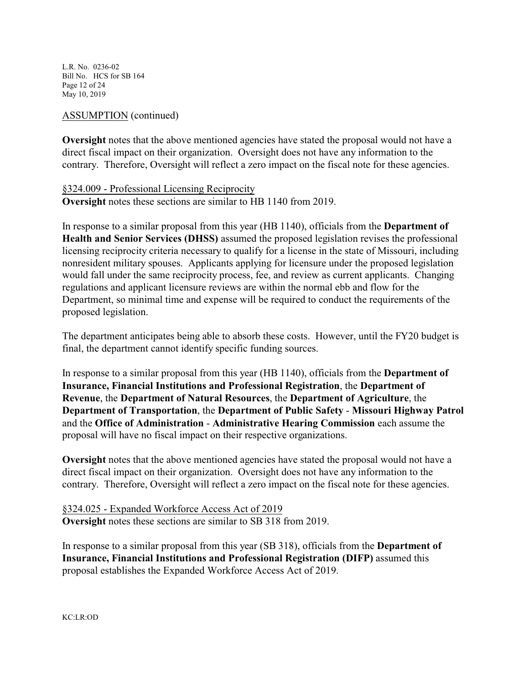L.R. No. 0236-02 Bill No. HCS for SB 164 Page 12 of 24 May 10, 2019

### ASSUMPTION (continued)

**Oversight** notes that the above mentioned agencies have stated the proposal would not have a direct fiscal impact on their organization. Oversight does not have any information to the contrary. Therefore, Oversight will reflect a zero impact on the fiscal note for these agencies.

# §324.009 - Professional Licensing Reciprocity **Oversight** notes these sections are similar to HB 1140 from 2019.

In response to a similar proposal from this year (HB 1140), officials from the **Department of Health and Senior Services (DHSS)** assumed the proposed legislation revises the professional licensing reciprocity criteria necessary to qualify for a license in the state of Missouri, including nonresident military spouses. Applicants applying for licensure under the proposed legislation would fall under the same reciprocity process, fee, and review as current applicants. Changing regulations and applicant licensure reviews are within the normal ebb and flow for the Department, so minimal time and expense will be required to conduct the requirements of the proposed legislation.

The department anticipates being able to absorb these costs. However, until the FY20 budget is final, the department cannot identify specific funding sources.

In response to a similar proposal from this year (HB 1140), officials from the **Department of Insurance, Financial Institutions and Professional Registration**, the **Department of Revenue**, the **Department of Natural Resources**, the **Department of Agriculture**, the **Department of Transportation**, the **Department of Public Safety** - **Missouri Highway Patrol** and the **Office of Administration** - **Administrative Hearing Commission** each assume the proposal will have no fiscal impact on their respective organizations.

**Oversight** notes that the above mentioned agencies have stated the proposal would not have a direct fiscal impact on their organization. Oversight does not have any information to the contrary. Therefore, Oversight will reflect a zero impact on the fiscal note for these agencies.

§324.025 - Expanded Workforce Access Act of 2019 **Oversight** notes these sections are similar to SB 318 from 2019.

In response to a similar proposal from this year (SB 318), officials from the **Department of Insurance, Financial Institutions and Professional Registration (DIFP)** assumed this proposal establishes the Expanded Workforce Access Act of 2019.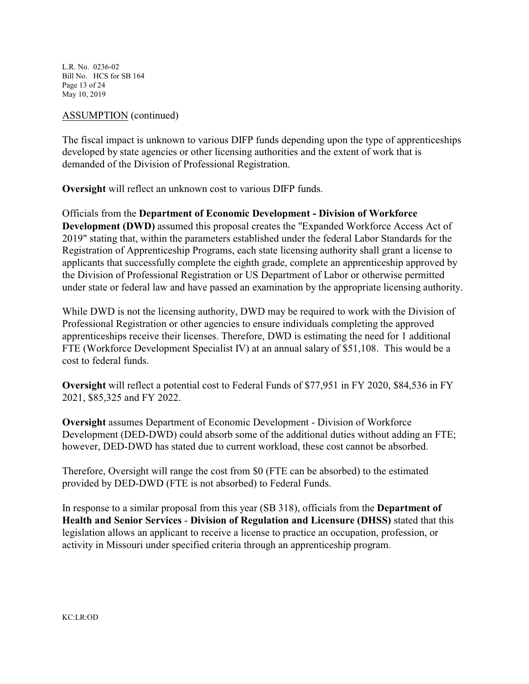L.R. No. 0236-02 Bill No. HCS for SB 164 Page 13 of 24 May 10, 2019

### ASSUMPTION (continued)

The fiscal impact is unknown to various DIFP funds depending upon the type of apprenticeships developed by state agencies or other licensing authorities and the extent of work that is demanded of the Division of Professional Registration.

**Oversight** will reflect an unknown cost to various DIFP funds.

Officials from the **Department of Economic Development - Division of Workforce Development (DWD)** assumed this proposal creates the "Expanded Workforce Access Act of 2019" stating that, within the parameters established under the federal Labor Standards for the Registration of Apprenticeship Programs, each state licensing authority shall grant a license to applicants that successfully complete the eighth grade, complete an apprenticeship approved by the Division of Professional Registration or US Department of Labor or otherwise permitted under state or federal law and have passed an examination by the appropriate licensing authority.

While DWD is not the licensing authority, DWD may be required to work with the Division of Professional Registration or other agencies to ensure individuals completing the approved apprenticeships receive their licenses. Therefore, DWD is estimating the need for 1 additional FTE (Workforce Development Specialist IV) at an annual salary of \$51,108. This would be a cost to federal funds.

**Oversight** will reflect a potential cost to Federal Funds of \$77,951 in FY 2020, \$84,536 in FY 2021, \$85,325 and FY 2022.

**Oversight** assumes Department of Economic Development - Division of Workforce Development (DED-DWD) could absorb some of the additional duties without adding an FTE; however, DED-DWD has stated due to current workload, these cost cannot be absorbed.

Therefore, Oversight will range the cost from \$0 (FTE can be absorbed) to the estimated provided by DED-DWD (FTE is not absorbed) to Federal Funds.

In response to a similar proposal from this year (SB 318), officials from the **Department of Health and Senior Services** - **Division of Regulation and Licensure (DHSS)** stated that this legislation allows an applicant to receive a license to practice an occupation, profession, or activity in Missouri under specified criteria through an apprenticeship program.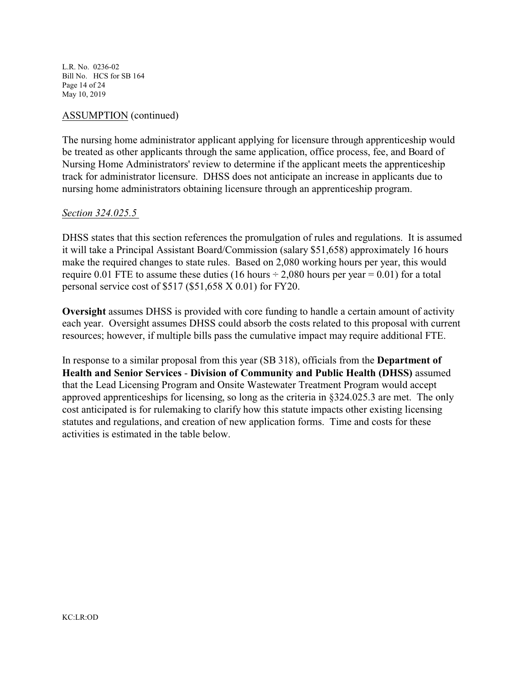L.R. No. 0236-02 Bill No. HCS for SB 164 Page 14 of 24 May 10, 2019

#### ASSUMPTION (continued)

The nursing home administrator applicant applying for licensure through apprenticeship would be treated as other applicants through the same application, office process, fee, and Board of Nursing Home Administrators' review to determine if the applicant meets the apprenticeship track for administrator licensure. DHSS does not anticipate an increase in applicants due to nursing home administrators obtaining licensure through an apprenticeship program.

#### *Section 324.025.5*

DHSS states that this section references the promulgation of rules and regulations. It is assumed it will take a Principal Assistant Board/Commission (salary \$51,658) approximately 16 hours make the required changes to state rules. Based on 2,080 working hours per year, this would require 0.01 FTE to assume these duties (16 hours  $\div$  2,080 hours per year = 0.01) for a total personal service cost of \$517 (\$51,658 X 0.01) for FY20.

**Oversight** assumes DHSS is provided with core funding to handle a certain amount of activity each year. Oversight assumes DHSS could absorb the costs related to this proposal with current resources; however, if multiple bills pass the cumulative impact may require additional FTE.

In response to a similar proposal from this year (SB 318), officials from the **Department of Health and Senior Services** - **Division of Community and Public Health (DHSS)** assumed that the Lead Licensing Program and Onsite Wastewater Treatment Program would accept approved apprenticeships for licensing, so long as the criteria in §324.025.3 are met. The only cost anticipated is for rulemaking to clarify how this statute impacts other existing licensing statutes and regulations, and creation of new application forms. Time and costs for these activities is estimated in the table below.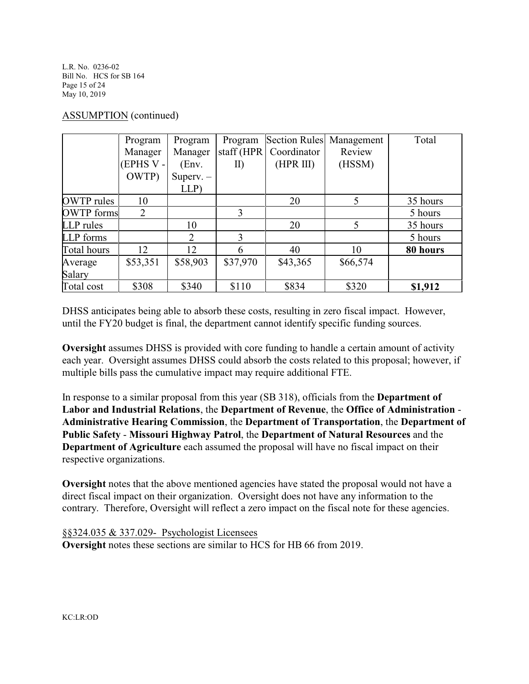L.R. No. 0236-02 Bill No. HCS for SB 164 Page 15 of 24 May 10, 2019

#### ASSUMPTION (continued)

|                   | Program         | Program     | Program       |             | Section Rules Management | Total    |
|-------------------|-----------------|-------------|---------------|-------------|--------------------------|----------|
|                   | Manager         | Manager     | staff $(HPR)$ | Coordinator | Review                   |          |
|                   | (EPHS V -       | (Env.       | II)           | (HPR III)   | (HSSM)                   |          |
|                   | OWTP)           | Superv. $-$ |               |             |                          |          |
|                   |                 | LLP         |               |             |                          |          |
| <b>OWTP</b> rules | 10              |             |               | 20          | 5                        | 35 hours |
| <b>OWTP</b> forms | 2               |             | 3             |             |                          | 5 hours  |
| LLP rules         |                 | 10          |               | 20          | 5                        | 35 hours |
| <b>LLP</b> forms  |                 | 2           | 3             |             |                          | 5 hours  |
| Total hours       | 12 <sub>1</sub> | 12          | 6             | 40          | 10                       | 80 hours |
| Average           | \$53,351        | \$58,903    | \$37,970      | \$43,365    | \$66,574                 |          |
| Salary            |                 |             |               |             |                          |          |
| Total cost        | \$308           | \$340       | \$110         | \$834       | \$320                    | \$1,912  |

DHSS anticipates being able to absorb these costs, resulting in zero fiscal impact. However, until the FY20 budget is final, the department cannot identify specific funding sources.

**Oversight** assumes DHSS is provided with core funding to handle a certain amount of activity each year. Oversight assumes DHSS could absorb the costs related to this proposal; however, if multiple bills pass the cumulative impact may require additional FTE.

In response to a similar proposal from this year (SB 318), officials from the **Department of Labor and Industrial Relations**, the **Department of Revenue**, the **Office of Administration** - **Administrative Hearing Commission**, the **Department of Transportation**, the **Department of Public Safety** - **Missouri Highway Patrol**, the **Department of Natural Resources** and the **Department of Agriculture** each assumed the proposal will have no fiscal impact on their respective organizations.

**Oversight** notes that the above mentioned agencies have stated the proposal would not have a direct fiscal impact on their organization. Oversight does not have any information to the contrary. Therefore, Oversight will reflect a zero impact on the fiscal note for these agencies.

§§324.035 & 337.029- Psychologist Licensees **Oversight** notes these sections are similar to HCS for HB 66 from 2019.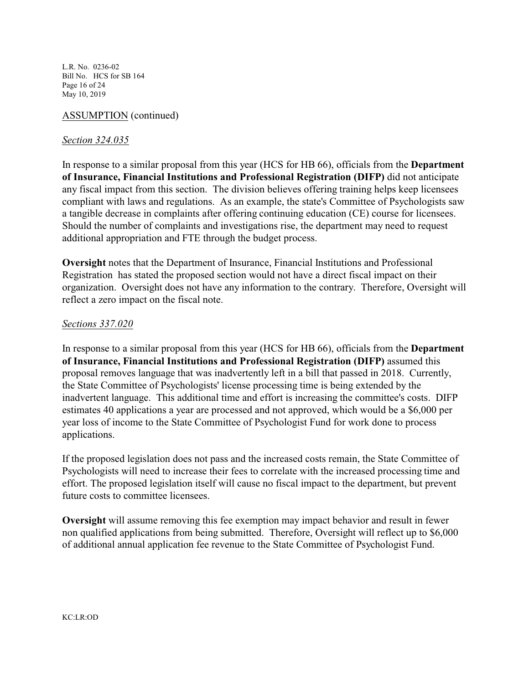L.R. No. 0236-02 Bill No. HCS for SB 164 Page 16 of 24 May 10, 2019

## ASSUMPTION (continued)

### *Section 324.035*

In response to a similar proposal from this year (HCS for HB 66), officials from the **Department of Insurance, Financial Institutions and Professional Registration (DIFP)** did not anticipate any fiscal impact from this section. The division believes offering training helps keep licensees compliant with laws and regulations. As an example, the state's Committee of Psychologists saw a tangible decrease in complaints after offering continuing education (CE) course for licensees. Should the number of complaints and investigations rise, the department may need to request additional appropriation and FTE through the budget process.

**Oversight** notes that the Department of Insurance, Financial Institutions and Professional Registration has stated the proposed section would not have a direct fiscal impact on their organization. Oversight does not have any information to the contrary. Therefore, Oversight will reflect a zero impact on the fiscal note.

#### *Sections 337.020*

In response to a similar proposal from this year (HCS for HB 66), officials from the **Department of Insurance, Financial Institutions and Professional Registration (DIFP)** assumed this proposal removes language that was inadvertently left in a bill that passed in 2018. Currently, the State Committee of Psychologists' license processing time is being extended by the inadvertent language. This additional time and effort is increasing the committee's costs. DIFP estimates 40 applications a year are processed and not approved, which would be a \$6,000 per year loss of income to the State Committee of Psychologist Fund for work done to process applications.

If the proposed legislation does not pass and the increased costs remain, the State Committee of Psychologists will need to increase their fees to correlate with the increased processing time and effort. The proposed legislation itself will cause no fiscal impact to the department, but prevent future costs to committee licensees.

**Oversight** will assume removing this fee exemption may impact behavior and result in fewer non qualified applications from being submitted. Therefore, Oversight will reflect up to \$6,000 of additional annual application fee revenue to the State Committee of Psychologist Fund.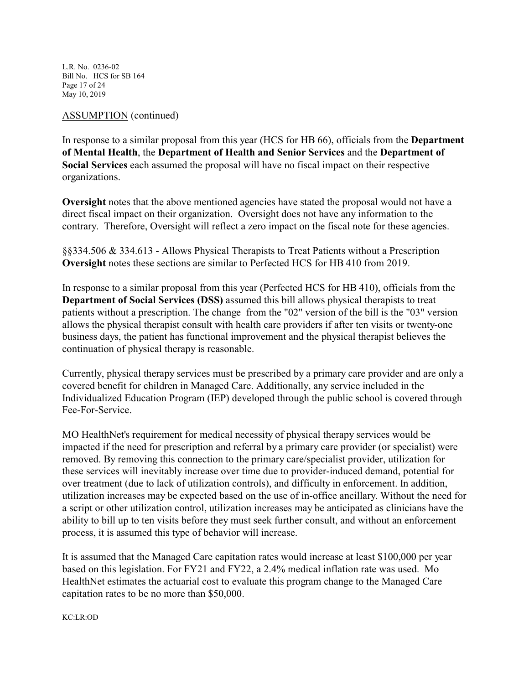L.R. No. 0236-02 Bill No. HCS for SB 164 Page 17 of 24 May 10, 2019

### ASSUMPTION (continued)

In response to a similar proposal from this year (HCS for HB 66), officials from the **Department of Mental Health**, the **Department of Health and Senior Services** and the **Department of Social Services** each assumed the proposal will have no fiscal impact on their respective organizations.

**Oversight** notes that the above mentioned agencies have stated the proposal would not have a direct fiscal impact on their organization. Oversight does not have any information to the contrary. Therefore, Oversight will reflect a zero impact on the fiscal note for these agencies.

§§334.506 & 334.613 - Allows Physical Therapists to Treat Patients without a Prescription **Oversight** notes these sections are similar to Perfected HCS for HB 410 from 2019.

In response to a similar proposal from this year (Perfected HCS for HB 410), officials from the **Department of Social Services (DSS)** assumed this bill allows physical therapists to treat patients without a prescription. The change from the "02" version of the bill is the "03" version allows the physical therapist consult with health care providers if after ten visits or twenty-one business days, the patient has functional improvement and the physical therapist believes the continuation of physical therapy is reasonable.

Currently, physical therapy services must be prescribed by a primary care provider and are only a covered benefit for children in Managed Care. Additionally, any service included in the Individualized Education Program (IEP) developed through the public school is covered through Fee-For-Service.

MO HealthNet's requirement for medical necessity of physical therapy services would be impacted if the need for prescription and referral by a primary care provider (or specialist) were removed. By removing this connection to the primary care/specialist provider, utilization for these services will inevitably increase over time due to provider-induced demand, potential for over treatment (due to lack of utilization controls), and difficulty in enforcement. In addition, utilization increases may be expected based on the use of in-office ancillary. Without the need for a script or other utilization control, utilization increases may be anticipated as clinicians have the ability to bill up to ten visits before they must seek further consult, and without an enforcement process, it is assumed this type of behavior will increase.

It is assumed that the Managed Care capitation rates would increase at least \$100,000 per year based on this legislation. For FY21 and FY22, a 2.4% medical inflation rate was used. Mo HealthNet estimates the actuarial cost to evaluate this program change to the Managed Care capitation rates to be no more than \$50,000.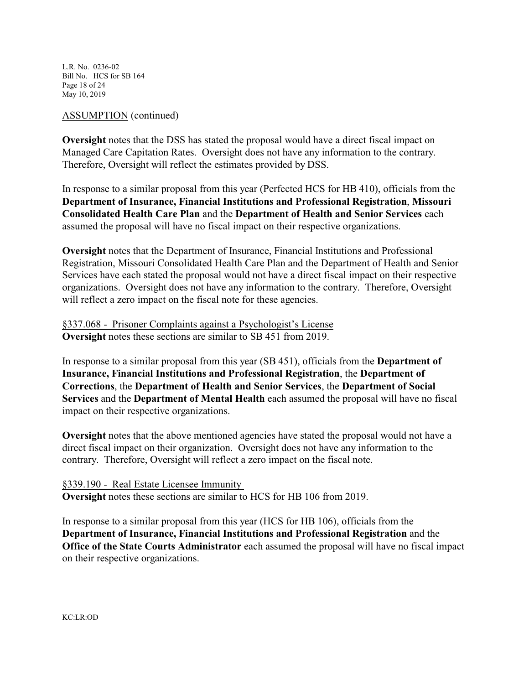L.R. No. 0236-02 Bill No. HCS for SB 164 Page 18 of 24 May 10, 2019

#### ASSUMPTION (continued)

**Oversight** notes that the DSS has stated the proposal would have a direct fiscal impact on Managed Care Capitation Rates. Oversight does not have any information to the contrary. Therefore, Oversight will reflect the estimates provided by DSS.

In response to a similar proposal from this year (Perfected HCS for HB 410), officials from the **Department of Insurance, Financial Institutions and Professional Registration**, **Missouri Consolidated Health Care Plan** and the **Department of Health and Senior Services** each assumed the proposal will have no fiscal impact on their respective organizations.

**Oversight** notes that the Department of Insurance, Financial Institutions and Professional Registration, Missouri Consolidated Health Care Plan and the Department of Health and Senior Services have each stated the proposal would not have a direct fiscal impact on their respective organizations. Oversight does not have any information to the contrary. Therefore, Oversight will reflect a zero impact on the fiscal note for these agencies.

§337.068 - Prisoner Complaints against a Psychologist's License **Oversight** notes these sections are similar to SB 451 from 2019.

In response to a similar proposal from this year (SB 451), officials from the **Department of Insurance, Financial Institutions and Professional Registration**, the **Department of Corrections**, the **Department of Health and Senior Services**, the **Department of Social Services** and the **Department of Mental Health** each assumed the proposal will have no fiscal impact on their respective organizations.

**Oversight** notes that the above mentioned agencies have stated the proposal would not have a direct fiscal impact on their organization. Oversight does not have any information to the contrary. Therefore, Oversight will reflect a zero impact on the fiscal note.

§339.190 - Real Estate Licensee Immunity **Oversight** notes these sections are similar to HCS for HB 106 from 2019.

In response to a similar proposal from this year (HCS for HB 106), officials from the **Department of Insurance, Financial Institutions and Professional Registration** and the **Office of the State Courts Administrator** each assumed the proposal will have no fiscal impact on their respective organizations.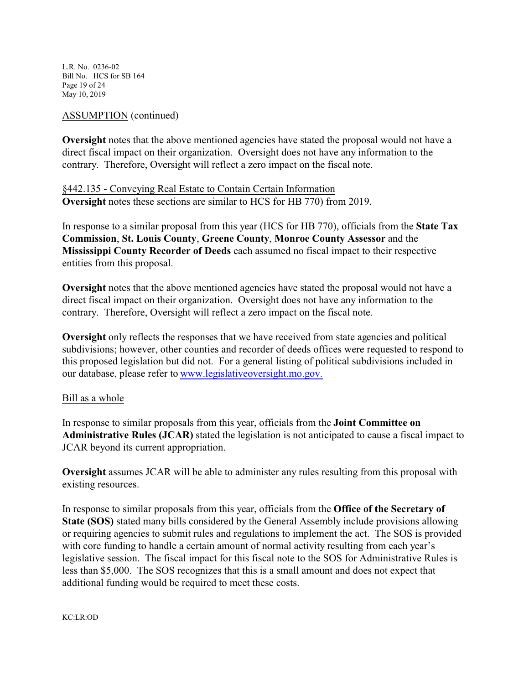L.R. No. 0236-02 Bill No. HCS for SB 164 Page 19 of 24 May 10, 2019

#### ASSUMPTION (continued)

**Oversight** notes that the above mentioned agencies have stated the proposal would not have a direct fiscal impact on their organization. Oversight does not have any information to the contrary. Therefore, Oversight will reflect a zero impact on the fiscal note.

§442.135 - Conveying Real Estate to Contain Certain Information **Oversight** notes these sections are similar to HCS for HB 770) from 2019.

In response to a similar proposal from this year (HCS for HB 770), officials from the **State Tax Commission**, **St. Louis County**, **Greene County**, **Monroe County Assessor** and the **Mississippi County Recorder of Deeds** each assumed no fiscal impact to their respective entities from this proposal.

**Oversight** notes that the above mentioned agencies have stated the proposal would not have a direct fiscal impact on their organization. Oversight does not have any information to the contrary. Therefore, Oversight will reflect a zero impact on the fiscal note.

**Oversight** only reflects the responses that we have received from state agencies and political subdivisions; however, other counties and recorder of deeds offices were requested to respond to this proposed legislation but did not. For a general listing of political subdivisions included in our database, please refer to [www.legislativeoversight.mo.gov.](http://www.legislativeoversight.mo.gov.)

#### Bill as a whole

In response to similar proposals from this year, officials from the **Joint Committee on Administrative Rules (JCAR)** stated the legislation is not anticipated to cause a fiscal impact to JCAR beyond its current appropriation.

**Oversight** assumes JCAR will be able to administer any rules resulting from this proposal with existing resources.

In response to similar proposals from this year, officials from the **Office of the Secretary of State (SOS)** stated many bills considered by the General Assembly include provisions allowing or requiring agencies to submit rules and regulations to implement the act. The SOS is provided with core funding to handle a certain amount of normal activity resulting from each year's legislative session. The fiscal impact for this fiscal note to the SOS for Administrative Rules is less than \$5,000. The SOS recognizes that this is a small amount and does not expect that additional funding would be required to meet these costs.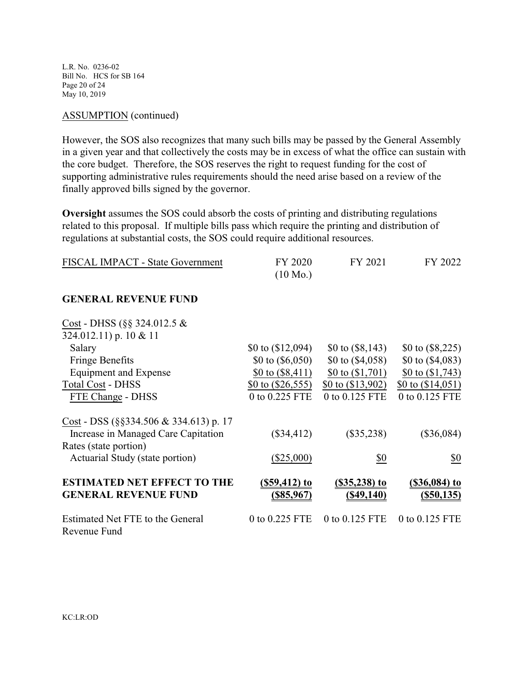L.R. No. 0236-02 Bill No. HCS for SB 164 Page 20 of 24 May 10, 2019

#### ASSUMPTION (continued)

However, the SOS also recognizes that many such bills may be passed by the General Assembly in a given year and that collectively the costs may be in excess of what the office can sustain with the core budget. Therefore, the SOS reserves the right to request funding for the cost of supporting administrative rules requirements should the need arise based on a review of the finally approved bills signed by the governor.

**Oversight** assumes the SOS could absorb the costs of printing and distributing regulations related to this proposal. If multiple bills pass which require the printing and distribution of regulations at substantial costs, the SOS could require additional resources.

| FISCAL IMPACT - State Government | FY 2020            | FY 2021 | FY 2022 |
|----------------------------------|--------------------|---------|---------|
|                                  | $(10 \text{ Mo.})$ |         |         |

#### **GENERAL REVENUE FUND**

| Cost - DHSS (§§ 324.012.5 $&$               |                     |                     |                    |
|---------------------------------------------|---------------------|---------------------|--------------------|
| 324.012.11) p. 10 & 11                      |                     |                     |                    |
| Salary                                      | \$0 to $(\$12,094)$ | \$0 to $(\$8,143)$  | \$0 to $(\$8,225)$ |
| <b>Fringe Benefits</b>                      | \$0 to $(\$6,050)$  | \$0 to $(\$4,058)$  | \$0 to $(\$4,083)$ |
| <b>Equipment and Expense</b>                | \$0 to $(\$8,411)$  | \$0 to $(1,701)$    | \$0 to $(1,743)$   |
| <b>Total Cost - DHSS</b>                    | \$0 to $(\$26,555)$ | \$0 to $(\$13,902)$ | \$0 to $(14,051)$  |
| FTE Change - DHSS                           | 0 to 0.225 FTE      | 0 to 0.125 FTE      | 0 to 0.125 FTE     |
| Cost - DSS ( $\S$ §334.506 & 334.613) p. 17 |                     |                     |                    |
| Increase in Managed Care Capitation         | $(\$34,412)$        | $(\$35,238)$        | $(\$36,084)$       |
| Rates (state portion)                       |                     |                     |                    |
| Actuarial Study (state portion)             | $(\$25,000)$        | \$0                 | \$0                |
| <b>ESTIMATED NET EFFECT TO THE</b>          | $($ \$59,412 $)$ to | $(S35, 238)$ to     | $($36,084)$ to     |
| <b>GENERAL REVENUE FUND</b>                 | $($ \$85,967)       | (S49, 140)          | (S50, 135)         |
| Estimated Net FTE to the General            | 0 to 0.225 FTE      | 0 to 0.125 FTE      | 0 to 0.125 FTE     |
| Revenue Fund                                |                     |                     |                    |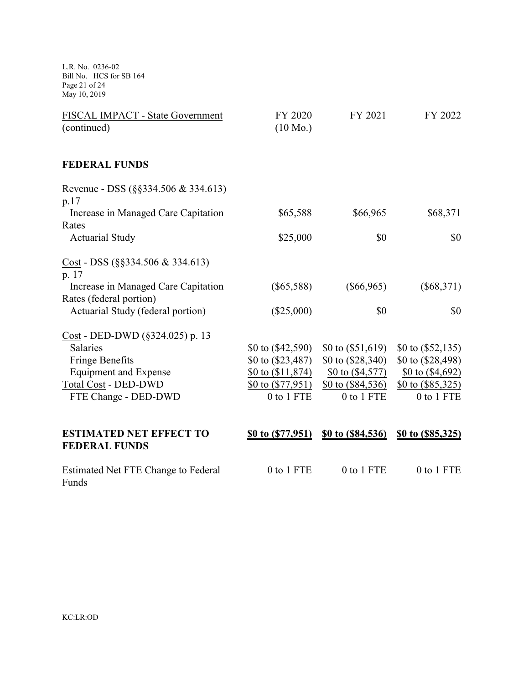L.R. No. 0236-02 Bill No. HCS for SB 164 Page 21 of 24 May 10, 2019

| FISCAL IMPACT - State Government<br>(continued)        | FY 2020<br>$(10 \text{ Mo.})$ | FY 2021             | FY 2022             |
|--------------------------------------------------------|-------------------------------|---------------------|---------------------|
| <b>FEDERAL FUNDS</b>                                   |                               |                     |                     |
| Revenue - DSS (§§334.506 & 334.613)<br>p.17            |                               |                     |                     |
| Increase in Managed Care Capitation                    | \$65,588                      | \$66,965            | \$68,371            |
| Rates                                                  |                               |                     |                     |
| <b>Actuarial Study</b>                                 | \$25,000                      | \$0                 | \$0                 |
| Cost - DSS $(\S$ §334.506 & 334.613)<br>p. 17          |                               |                     |                     |
| Increase in Managed Care Capitation                    | $(\$65,588)$                  | $(\$66,965)$        | $(\$68,371)$        |
| Rates (federal portion)                                |                               |                     |                     |
| Actuarial Study (federal portion)                      | $(\$25,000)$                  | \$0                 | \$0                 |
| Cost - DED-DWD (§324.025) p. 13                        |                               |                     |                     |
| <b>Salaries</b>                                        | \$0 to $(\$42,590)$           | \$0 to $(\$51,619)$ | \$0 to $(\$52,135)$ |
| <b>Fringe Benefits</b>                                 | \$0 to $(\$23,487)$           | \$0 to (\$28,340)   | \$0 to (\$28,498)   |
| <b>Equipment and Expense</b>                           | \$0 to $(1, 874)$             | \$0 to $( $4,577)$  | \$0 to $( $4,692)$  |
| <b>Total Cost - DED-DWD</b>                            | \$0 to $(\$77,951)$           | \$0 to (\$84,536)   | \$0 to $(\$85,325)$ |
| FTE Change - DED-DWD                                   | 0 to 1 FTE                    | 0 to 1 FTE          | 0 to 1 FTE          |
|                                                        |                               |                     |                     |
| <b>ESTIMATED NET EFFECT TO</b><br><b>FEDERAL FUNDS</b> | \$0 to (\$77,951)             | \$0 to (\$84,536)   | \$0 to (\$85,325)   |
| Estimated Net FTE Change to Federal<br>Funds           | 0 to 1 FTE                    | 0 to 1 FTE          | 0 to 1 FTE          |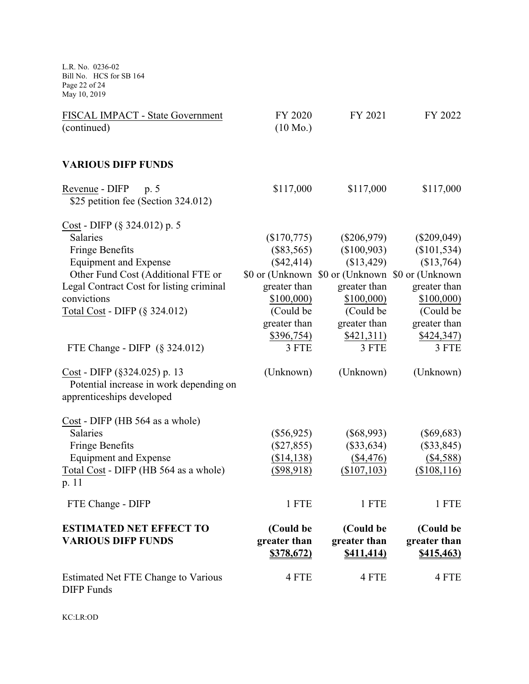L.R. No. 0236-02 Bill No. HCS for SB 164 Page 22 of 24 May 10, 2019

| FISCAL IMPACT - State Government<br>(continued)                                                         | FY 2020<br>$(10 \text{ Mo.})$                  | FY 2021                                         | FY 2022                                        |
|---------------------------------------------------------------------------------------------------------|------------------------------------------------|-------------------------------------------------|------------------------------------------------|
| <b>VARIOUS DIFP FUNDS</b>                                                                               |                                                |                                                 |                                                |
| Revenue - DIFP p. 5<br>\$25 petition fee (Section 324.012)                                              | \$117,000                                      | \$117,000                                       | \$117,000                                      |
| $Cost - DIFF$ (§ 324.012) p. 5                                                                          |                                                |                                                 |                                                |
| Salaries                                                                                                | (\$170,775)                                    | $(\$206,979)$                                   | $(\$209,049)$                                  |
| <b>Fringe Benefits</b>                                                                                  | $(\$83,565)$                                   | (\$100,903)                                     | (\$101,534)                                    |
| <b>Equipment and Expense</b>                                                                            | (\$42,414)                                     | (\$13,429)                                      | (\$13,764)                                     |
| Other Fund Cost (Additional FTE or                                                                      |                                                | \$0 or (Unknown \$0 or (Unknown \$0 or (Unknown |                                                |
| Legal Contract Cost for listing criminal                                                                | greater than                                   | greater than                                    | greater than                                   |
| convictions                                                                                             | \$100,000                                      | \$100,000                                       | \$100,000                                      |
| Total Cost - DIFP (§ 324.012)                                                                           | (Could be                                      | (Could be                                       | (Could be                                      |
|                                                                                                         | greater than                                   | greater than                                    | greater than                                   |
|                                                                                                         | \$396,754)                                     | \$421,311)                                      | \$424,347)                                     |
| FTE Change - DIFP $(\S$ 324.012)                                                                        | 3 FTE                                          | 3 FTE                                           | 3 FTE                                          |
| $Cost - DIFF (§ 324.025) p. 13$<br>Potential increase in work depending on<br>apprenticeships developed | (Unknown)                                      | (Unknown)                                       | (Unknown)                                      |
| $Cost - DIFF (HB 564 as a whole)$                                                                       |                                                |                                                 |                                                |
| Salaries                                                                                                | $(\$56,925)$                                   | $(\$68,993)$                                    | $(\$69,683)$                                   |
| <b>Fringe Benefits</b>                                                                                  | $(\$27,855)$                                   | $(\$33,634)$                                    | $(\$33,845)$                                   |
| <b>Equipment and Expense</b>                                                                            | ( \$14, 138)                                   | $(\$4,476)$                                     | ( \$4,588)                                     |
| Total Cost - DIFP (HB 564 as a whole)<br>p. 11                                                          | $(\$98,918)$                                   | $(\$107, 103)$                                  | (\$108, 116)                                   |
| FTE Change - DIFP                                                                                       | 1 FTE                                          | 1 FTE                                           | 1 FTE                                          |
| <b>ESTIMATED NET EFFECT TO</b><br><b>VARIOUS DIFP FUNDS</b>                                             | (Could be<br>greater than<br><u>\$378,672)</u> | (Could be<br>greater than<br><b>\$411,414)</b>  | (Could be<br>greater than<br><u>\$415,463)</u> |
| Estimated Net FTE Change to Various<br><b>DIFP</b> Funds                                                | 4 FTE                                          | 4 FTE                                           | 4 FTE                                          |

KC:LR:OD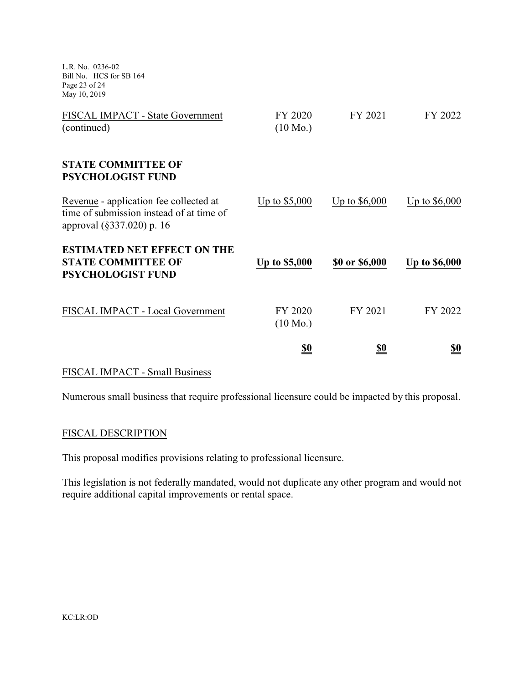L.R. No. 0236-02 Bill No. HCS for SB 164 Page 23 of 24 May 10, 2019

| FISCAL IMPACT - State Government<br>(continued)                                                                 | FY 2020<br>$(10 \text{ Mo.})$ | FY 2021               | FY 2022        |
|-----------------------------------------------------------------------------------------------------------------|-------------------------------|-----------------------|----------------|
| <b>STATE COMMITTEE OF</b><br><b>PSYCHOLOGIST FUND</b>                                                           |                               |                       |                |
| Revenue - application fee collected at<br>time of submission instead of at time of<br>approval (§337.020) p. 16 | Up to $$5,000$                | Up to $$6,000$        | Up to $$6,000$ |
| <b>ESTIMATED NET EFFECT ON THE</b><br><b>STATE COMMITTEE OF</b><br><b>PSYCHOLOGIST FUND</b>                     | <u>Up to \$5,000</u>          | <u>\$0 or \$6,000</u> | Up to \$6,000  |
| FISCAL IMPACT - Local Government                                                                                | FY 2020<br>$(10 \text{ Mo.})$ | FY 2021               | FY 2022        |
|                                                                                                                 | <u>\$0</u>                    | <u>\$0</u>            | <u>\$0</u>     |

#### FISCAL IMPACT - Small Business

Numerous small business that require professional licensure could be impacted by this proposal.

## FISCAL DESCRIPTION

This proposal modifies provisions relating to professional licensure.

This legislation is not federally mandated, would not duplicate any other program and would not require additional capital improvements or rental space.